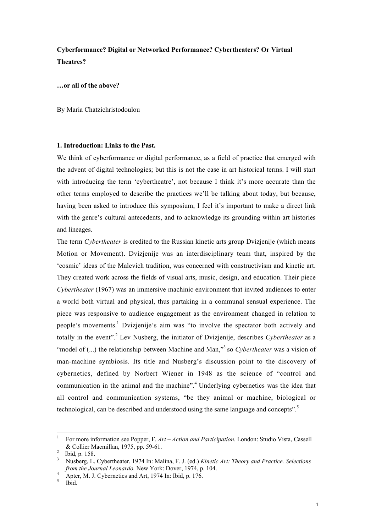# **Cyberformance? Digital or Networked Performance? Cybertheaters? Or Virtual Theatres?**

#### **…or all of the above?**

By Maria Chatzichristodoulou

#### **1. Introduction: Links to the Past.**

We think of cyberformance or digital performance, as a field of practice that emerged with the advent of digital technologies; but this is not the case in art historical terms. I will start with introducing the term 'cybertheatre', not because I think it's more accurate than the other terms employed to describe the practices we'll be talking about today, but because, having been asked to introduce this symposium, I feel it's important to make a direct link with the genre's cultural antecedents, and to acknowledge its grounding within art histories and lineages.

The term *Cybertheater* is credited to the Russian kinetic arts group Dvizjenije (which means Motion or Movement). Dvizjenije was an interdisciplinary team that, inspired by the 'cosmic' ideas of the Malevich tradition, was concerned with constructivism and kinetic art. They created work across the fields of visual arts, music, design, and education. Their piece *Cybertheater* (1967) was an immersive machinic environment that invited audiences to enter a world both virtual and physical, thus partaking in a communal sensual experience. The piece was responsive to audience engagement as the environment changed in relation to people's movements.1 Dvizjenije's aim was "to involve the spectator both actively and totally in the event".2 Lev Nusberg, the initiator of Dvizjenije, describes *Cybertheater* as a "model of (...) the relationship between Machine and Man,"<sup>3</sup> so *Cybertheater* was a vision of man-machine symbiosis. Its title and Nusberg's discussion point to the discovery of cybernetics, defined by Norbert Wiener in 1948 as the science of "control and communication in the animal and the machine".<sup>4</sup> Underlying cybernetics was the idea that all control and communication systems, "be they animal or machine, biological or technological, can be described and understood using the same language and concepts".<sup>5</sup>

<sup>1</sup> For more information see Popper, F. *Art – Action and Participation.* London: Studio Vista, Cassell & Collier Macmillan, 1975, pp. 59-61.

Ibid, p. 158.

<sup>3</sup> Nusberg, L. Cybertheater, 1974 In: Malina, F. J. (ed.) *Kinetic Art: Theory and Practice. Selections from the Journal Leonardo.* New York: Dover, 1974, p. 104.<br>
<sup>4</sup> Apter, M. J. Cybernetics and Art, 1974 In: Ibid, p. 176.<br>
<sup>5</sup> Ibid.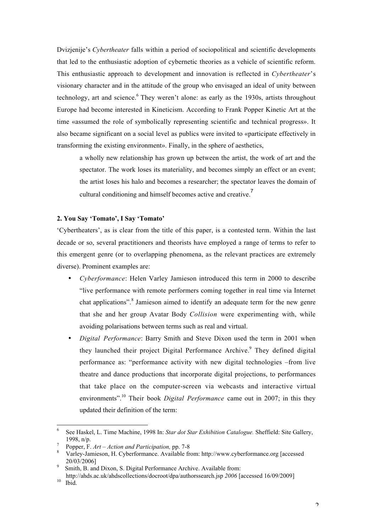Dvizjenije's *Cybertheater* falls within a period of sociopolitical and scientific developments that led to the enthusiastic adoption of cybernetic theories as a vehicle of scientific reform. This enthusiastic approach to development and innovation is reflected in *Cybertheater*'s visionary character and in the attitude of the group who envisaged an ideal of unity between technology, art and science.<sup>6</sup> They weren't alone: as early as the 1930s, artists throughout Europe had become interested in Kineticism. According to Frank Popper Kinetic Art at the time «assumed the role of symbolically representing scientific and technical progress». It also became significant on a social level as publics were invited to «participate effectively in transforming the existing environment». Finally, in the sphere of aesthetics,

a wholly new relationship has grown up between the artist, the work of art and the spectator. The work loses its materiality, and becomes simply an effect or an event; the artist loses his halo and becomes a researcher; the spectator leaves the domain of cultural conditioning and himself becomes active and creative.<sup>7</sup>

## **2. You Say 'Tomato', I Say 'Tomato'**

'Cybertheaters', as is clear from the title of this paper, is a contested term. Within the last decade or so, several practitioners and theorists have employed a range of terms to refer to this emergent genre (or to overlapping phenomena, as the relevant practices are extremely diverse). Prominent examples are:

- *Cyberformance*: Helen Varley Jamieson introduced this term in 2000 to describe "live performance with remote performers coming together in real time via Internet chat applications".<sup>8</sup> Jamieson aimed to identify an adequate term for the new genre that she and her group Avatar Body *Collision* were experimenting with, while avoiding polarisations between terms such as real and virtual.
- *Digital Performance*: Barry Smith and Steve Dixon used the term in 2001 when they launched their project Digital Performance Archive.<sup>9</sup> They defined digital performance as: "performance activity with new digital technologies –from live theatre and dance productions that incorporate digital projections, to performances that take place on the computer-screen via webcasts and interactive virtual environments".10 Their book *Digital Performance* came out in 2007; in this they updated their definition of the term:

<sup>6</sup> See Haskel, L. Time Machine, 1998 In: *Star dot Star Exhibition Catalogue.* Sheffield: Site Gallery, 1998, n/p.<br><sup>7</sup> Popper, F. *Art – Action and Participation*, pp. 7-8<br><sup>8</sup> Varley-Jamieson, H. Cyberformance. Available from: http://www.cyberformance.org [accessed

<sup>20/03/2006]</sup> <sup>9</sup>

Smith, B. and Dixon, S. Digital Performance Archive. Available from:

http://ahds.ac.uk/ahdscollections/docroot/dpa/authorssearch.jsp 2006 [accessed 16/09/2009]<br><sup>10</sup> Ibid

Ibid.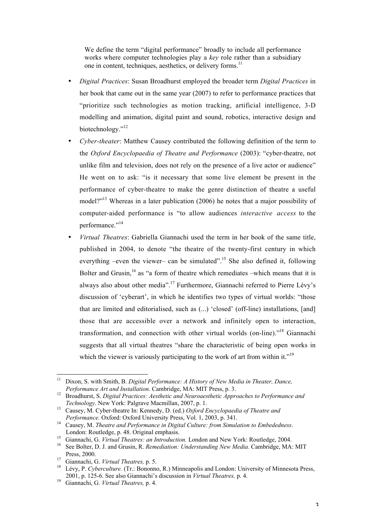We define the term "digital performance" broadly to include all performance works where computer technologies play a *key* role rather than a subsidiary one in content, techniques, aesthetics, or delivery forms.<sup>11</sup>

- *Digital Practices*: Susan Broadhurst employed the broader term *Digital Practices* in her book that came out in the same year (2007) to refer to performance practices that "prioritize such technologies as motion tracking, artificial intelligence, 3-D modelling and animation, digital paint and sound, robotics, interactive design and biotechnology."<sup>12</sup>
- *Cyber-theater*: Matthew Causey contributed the following definition of the term to the *Oxford Encyclopaedia of Theatre and Performance* (2003): "cyber-theatre, not unlike film and television, does not rely on the presence of a live actor or audience" He went on to ask: "is it necessary that some live element be present in the performance of cyber-theatre to make the genre distinction of theatre a useful model?"<sup>13</sup> Whereas in a later publication (2006) he notes that a major possibility of computer-aided performance is "to allow audiences *interactive access* to the performance."<sup>14</sup>
- *Virtual Theatres*: Gabriella Giannachi used the term in her book of the same title, published in 2004, to denote "the theatre of the twenty-first century in which everything –even the viewer– can be simulated".<sup>15</sup> She also defined it, following Bolter and Grusin, $16$  as "a form of theatre which remediates –which means that it is always also about other media".<sup>17</sup> Furthermore, Giannachi referred to Pierre Lévy's discussion of 'cyberart', in which he identifies two types of virtual worlds: "those that are limited and editorialised, such as (...) 'closed' (off-line) installations, [and] those that are accessible over a network and infinitely open to interaction, transformation, and connection with other virtual worlds (on-line)."18 Giannachi suggests that all virtual theatres "share the characteristic of being open works in which the viewer is variously participating to the work of art from within it."<sup>19</sup>

11 Dixon, S. with Smith, B. *Digital Performance: A History of New Media in Theater, Dance,*

*Performance Art and Installation.* Cambridge, MA: MIT Press, p. 3.<br><sup>12</sup> Broadhurst, S. *Digital Practices: Aesthetic and Neuroaesthetic Approaches to Performance and Technology*. New York: Palgrave Macmillan, 2007, p. 1.

Causey, M. Cyber-theatre In: Kennedy, D. (ed.) *Oxford Encyclopaedia of Theatre and Performance.* Oxford: Oxford University Press, Vol. 1, 2003, p. 341.

Causey, M. *Theatre and Performance in Digital Culture: from Simulation to Embededness*. London: Routledge, p. 48. Original emphasis.

<sup>&</sup>lt;sup>15</sup> Giannachi, G. *Virtual Theatres: an Introduction*. London and New York: Routledge, 2004.<br><sup>16</sup> See Bolter D. J. and Grusin, B. *Remediation: Understanding New Media*, Cambridge, MA:

See Bolter, D. J. and Grusin, R. *Remediation: Understanding New Media.* Cambridge, MA: MIT Press, 2000.

Giannachi, G. *Virtual Theatres*, p. 5.

<sup>&</sup>lt;sup>18</sup> Lévy, P. Cyberculture. (Tr.: Bononno, R.) Minneapolis and London: University of Minnesota Press, 2001, p. 125-6. See also Giannachi's discussion in *Virtual Theatres,* p. 4. <sup>19</sup>

Giannachi, G. *Virtual Theatres,* p. 4.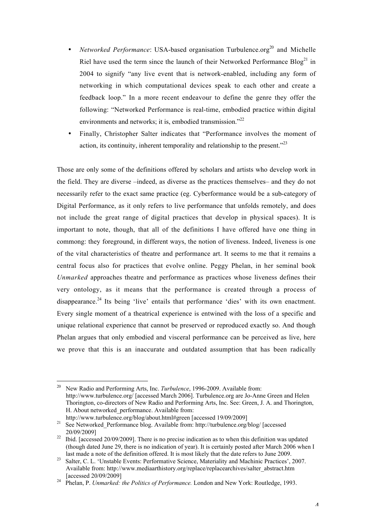- *Networked Performance*: USA-based organisation Turbulence.org<sup>20</sup> and Michelle Riel have used the term since the launch of their Networked Performance  $B\log^{21}$  in 2004 to signify "any live event that is network-enabled, including any form of networking in which computational devices speak to each other and create a feedback loop." In a more recent endeavour to define the genre they offer the following: "Networked Performance is real-time, embodied practice within digital environments and networks; it is, embodied transmission."<sup>22</sup>
- Finally, Christopher Salter indicates that "Performance involves the moment of action, its continuity, inherent temporality and relationship to the present."23

Those are only some of the definitions offered by scholars and artists who develop work in the field. They are diverse –indeed, as diverse as the practices themselves– and they do not necessarily refer to the exact same practice (eg. Cyberformance would be a sub-category of Digital Performance, as it only refers to live performance that unfolds remotely, and does not include the great range of digital practices that develop in physical spaces). It is important to note, though, that all of the definitions I have offered have one thing in commong: they foreground, in different ways, the notion of liveness. Indeed, liveness is one of the vital characteristics of theatre and performance art. It seems to me that it remains a central focus also for practices that evolve online. Peggy Phelan, in her seminal book *Unmarked* approaches theatre and performance as practices whose liveness defines their very ontology, as it means that the performance is created through a process of disappearance.<sup>24</sup> Its being 'live' entails that performance 'dies' with its own enactment. Every single moment of a theatrical experience is entwined with the loss of a specific and unique relational experience that cannot be preserved or reproduced exactly so. And though Phelan argues that only embodied and visceral performance can be perceived as live, here we prove that this is an inaccurate and outdated assumption that has been radically

<sup>20</sup> New Radio and Performing Arts, Inc. *Turbulence*, 1996-2009. Available from: http://www.turbulence.org/ [accessed March 2006]. Turbulence.org are Jo-Anne Green and Helen Thorington, co-directors of New Radio and Performing Arts, Inc. See: Green, J. A. and Thorington, H. About networked\_performance. Available from:

http://www.turbulence.org/blog/about.html#green [accessed 19/09/2009]<br><sup>21</sup> See Networked\_Performance blog. Available from: http://turbulence.org/blog/ [accessed

 $20/09/2009$ ]<br><sup>22</sup> Ibid. [accessed 20/09/2009]. There is no precise indication as to when this definition was updated

<sup>(</sup>though dated June 29, there is no indication of year). It is certainly posted after March 2006 when I last made a note of the definition offered. It is most likely that the date refers to June 2009.<br><sup>23</sup> Salter, C. L. 'Unstable Events: Performative Science, Materiality and Machinic Practices', 2007.

Available from: http://www.mediaarthistory.org/replace/replacearchives/salter\_abstract.htm

<sup>[</sup>accessed 20/09/2009] <sup>24</sup> Phelan, P. *Unmarked: the Politics of Performance.* London and New York: Routledge, 1993.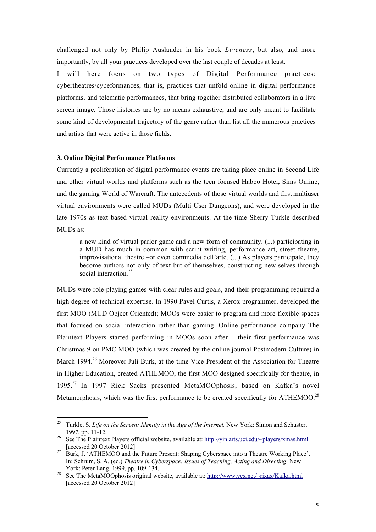challenged not only by Philip Auslander in his book *Liveness*, but also, and more importantly, by all your practices developed over the last couple of decades at least.

I will here focus on two types of Digital Performance practices: cybertheatres/cybeformances, that is, practices that unfold online in digital performance platforms, and telematic performances, that bring together distributed collaborators in a live screen image. Those histories are by no means exhaustive, and are only meant to facilitate some kind of developmental trajectory of the genre rather than list all the numerous practices and artists that were active in those fields.

## **3. Online Digital Performance Platforms**

Currently a proliferation of digital performance events are taking place online in Second Life and other virtual worlds and platforms such as the teen focused Habbo Hotel, Sims Online, and the gaming World of Warcraft. The antecedents of those virtual worlds and first multiuser virtual environments were called MUDs (Multi User Dungeons), and were developed in the late 1970s as text based virtual reality environments. At the time Sherry Turkle described MUDs as:

a new kind of virtual parlor game and a new form of community. (...) participating in a MUD has much in common with script writing, performance art, street theatre, improvisational theatre –or even commedia dell'arte. (...) As players participate, they become authors not only of text but of themselves, constructing new selves through social interaction.<sup>25</sup>

MUDs were role-playing games with clear rules and goals, and their programming required a high degree of technical expertise. In 1990 Pavel Curtis, a Xerox programmer, developed the first MOO (MUD Object Oriented); MOOs were easier to program and more flexible spaces that focused on social interaction rather than gaming. Online performance company The Plaintext Players started performing in MOOs soon after – their first performance was Christmas 9 on PMC MOO (which was created by the online journal Postmodern Culture) in March 1994.<sup>26</sup> Moreover Juli Burk, at the time Vice President of the Association for Theatre in Higher Education, created ATHEMOO, the first MOO designed specifically for theatre, in 1995.27 In 1997 Rick Sacks presented MetaMOOphosis, based on Kafka's novel Metamorphosis, which was the first performance to be created specifically for ATHEMOO.<sup>28</sup>

<sup>25</sup> Turkle, S. *Life on the Screen: Identity in the Age of the Internet.* New York: Simon and Schuster, 1997, pp. 11-12. <sup>26</sup> See The Plaintext Players official website, available at: http://yin.arts.uci.edu/~players/xmas.html

<sup>[</sup>accessed 20 October 2012] <sup>27</sup> Burk, J. 'ATHEMOO and the Future Present: Shaping Cyberspace into a Theatre Working Place',

In: Schrum, S. A. (ed.) *Theatre in Cyberspace: Issues of Teaching, Acting and Directing*. New York: Peter Lang, 1999, pp. 109-134.<br><sup>28</sup> See The MetaMOOphosis original website, available at: http://www.vex.net/~rixax/Kafka.html

<sup>[</sup>accessed 20 October 2012]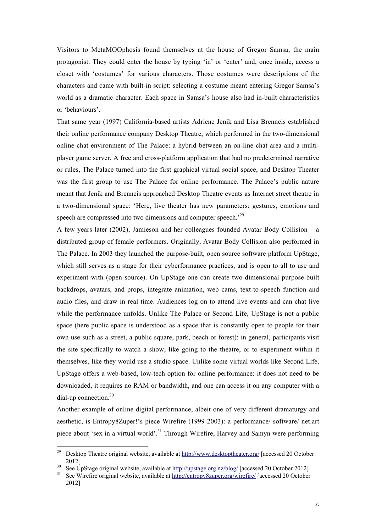Visitors to MetaMOOphosis found themselves at the house of Gregor Samsa, the main protagonist. They could enter the house by typing 'in' or 'enter' and, once inside, access a closet with 'costumes' for various characters. Those costumes were descriptions of the characters and came with built-in script: selecting a costume meant entering Gregor Samsa's world as a dramatic character. Each space in Samsa's house also had in-built characteristics or 'behaviours'.

That same year (1997) California-based artists Adriene Jenik and Lisa Brenneis established their online performance company Desktop Theatre, which performed in the two-dimensional online chat environment of The Palace: a hybrid between an on-line chat area and a multiplayer game server. A free and cross-platform application that had no predetermined narrative or rules, The Palace turned into the first graphical virtual social space, and Desktop Theater was the first group to use The Palace for online performance. The Palace's public nature meant that Jenik and Brenneis approached Desktop Theatre events as Internet street theatre in a two-dimensional space: 'Here, live theater has new parameters: gestures, emotions and speech are compressed into two dimensions and computer speech.<sup>29</sup>

A few years later (2002), Jamieson and her colleagues founded Avatar Body Collision – a distributed group of female performers. Originally, Avatar Body Collision also performed in The Palace. In 2003 they launched the purpose-built, open source software platform UpStage, which still serves as a stage for their cyberformance practices, and is open to all to use and experiment with (open source). On UpStage one can create two-dimensional purpose-built backdrops, avatars, and props, integrate animation, web cams, text-to-speech function and audio files, and draw in real time. Audiences log on to attend live events and can chat live while the performance unfolds. Unlike The Palace or Second Life, UpStage is not a public space (here public space is understood as a space that is constantly open to people for their own use such as a street, a public square, park, beach or forest): in general, participants visit the site specifically to watch a show, like going to the theatre, or to experiment within it themselves, like they would use a studio space. Unlike some virtual worlds like Second Life, UpStage offers a web-based, low-tech option for online performance: it does not need to be downloaded, it requires no RAM or bandwidth, and one can access it on any computer with a dial-up connection.<sup>30</sup>

Another example of online digital performance, albeit one of very different dramaturgy and aesthetic, is Entropy8Zuper!'s piece Wirefire (1999-2003): a performance/ software/ net.art piece about 'sex in a virtual world'.31 Through Wirefire, Harvey and Samyn were performing

<sup>&</sup>lt;sup>29</sup> Desktop Theatre original website, available at http://www.desktoptheater.org/ [accessed 20 October 2012[<br>
<sup>30</sup> See UpStage original website, available at <u>http://upstage.org.nz/blog/</u> [accessed 20 October 2012]<br>
<sup>31</sup> See Wirefire original website, available at http://entropy8zuper.org/wirefire/ [accessed 20 October

<sup>2012]</sup>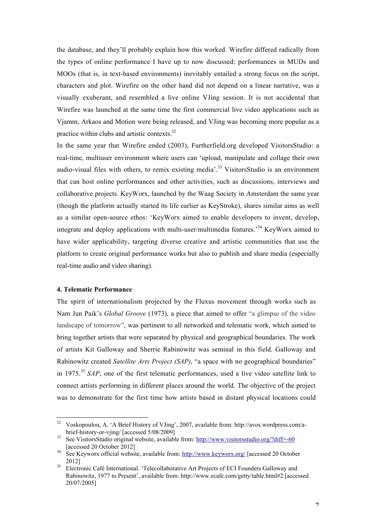the database, and they'll probably explain how this worked. Wirefire differed radically from the types of online performance I have up to now discussed: performances in MUDs and MOOs (that is, in text-based environments) inevitably entailed a strong focus on the script, characters and plot. Wirefire on the other hand did not depend on a linear narrative, was a visually exuberant, and resembled a live online VJing session. It is not accidental that Wirefire was launched at the same time the first commercial live video applications such as Vjamm, Arkaos and Motion were being released, and VJing was becoming more popular as a practice within clubs and artistic contexts.32

In the same year that Wirefire ended (2003), Furtherfield.org developed VisitorsStudio: a real-time, multiuser environment where users can 'upload, manipulate and collage their own audio-visual files with others, to remix existing media'.<sup>33</sup> VisitorsStudio is an environment that can host online performances and other activities, such as discussions, interviews and collaborative projects. KeyWorx, launched by the Waag Society in Amsterdam the same year (though the platform actually started its life earlier as KeyStroke), shares similar aims as well as a similar open-source ethos: 'KeyWorx aimed to enable developers to invent, develop, integrate and deploy applications with multi-user/multimedia features.<sup>34</sup> KeyWorx aimed to have wider applicability, targeting diverse creative and artistic communities that use the platform to create original performance works but also to publish and share media (especially real-time audio and video sharing).

# **4. Telematic Performance**

The spirit of internationalism projected by the Fluxus movement through works such as Nam Jun Paik's *Global Groove* (1973), a piece that aimed to offer "a glimpse of the video landscape of tomorrow", was pertinent to all networked and telematic work, which aimed to bring together artists that were separated by physical and geographical boundaries. The work of artists Kit Galloway and Sherrie Rabinowitz was seminal in this field. Galloway and Rabinowitz created *Satellite Arts Project (SAP)*, "a space with no geographical boundaries" in 1975.<sup>35</sup> *SAP*, one of the first telematic performances, used a live video satellite link to connect artists performing in different places around the world. The objective of the project was to demonstrate for the first time how artists based in distant physical locations could

<sup>&</sup>lt;sup>32</sup> Voskopoulou, A. 'A Brief History of VJing', 2007, available from: http://avos.wordpress.com/a-<br>brief-history-or-vjing/ [accessed 5/08/2009]

 $b<sup>33</sup>$  See VisitorsStudio original website, available from: http://www.visitorsstudio.org/?diff=-60 [accessed 20 October 2012] <sup>34</sup> See Keyworx official website, available from: http://www.keyworx.org/ [accessed 20 October

<sup>2012]&</sup>lt;br>Electronic Café International. 'Telecollaborative Art Projects of ECI Founders Galloway and

Rabinowitz, 1977 to Present', available from: http://www.ecafe.com/getty/table.html#2 [accessed 20/07/2005]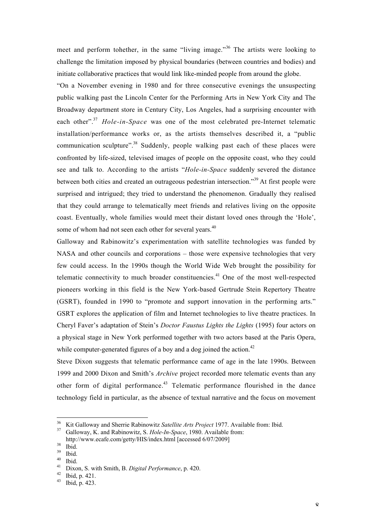meet and perform tohether, in the same "living image."<sup>36</sup> The artists were looking to challenge the limitation imposed by physical boundaries (between countries and bodies) and initiate collaborative practices that would link like-minded people from around the globe.

"On a November evening in 1980 and for three consecutive evenings the unsuspecting public walking past the Lincoln Center for the Performing Arts in New York City and The Broadway department store in Century City, Los Angeles, had a surprising encounter with each other".<sup>37</sup> *Hole-in-Space* was one of the most celebrated pre-Internet telematic installation/performance works or, as the artists themselves described it, a "public communication sculpture".<sup>38</sup> Suddenly, people walking past each of these places were confronted by life-sized, televised images of people on the opposite coast, who they could see and talk to. According to the artists "*Hole-in-Space* suddenly severed the distance between both cities and created an outrageous pedestrian intersection."<sup>39</sup> At first people were surprised and intrigued; they tried to understand the phenomenon. Gradually they realised that they could arrange to telematically meet friends and relatives living on the opposite coast. Eventually, whole families would meet their distant loved ones through the 'Hole', some of whom had not seen each other for several years.<sup>40</sup>

Galloway and Rabinowitz's experimentation with satellite technologies was funded by NASA and other councils and corporations – those were expensive technologies that very few could access. In the 1990s though the World Wide Web brought the possibility for telematic connectivity to much broader constituencies.<sup>41</sup> One of the most well-respected pioneers working in this field is the New York-based Gertrude Stein Repertory Theatre (GSRT), founded in 1990 to "promote and support innovation in the performing arts." GSRT explores the application of film and Internet technologies to live theatre practices. In Cheryl Faver's adaptation of Stein's *Doctor Faustus Lights the Lights* (1995) four actors on a physical stage in New York performed together with two actors based at the Paris Opera, while computer-generated figures of a boy and a dog joined the action.<sup>42</sup>

Steve Dixon suggests that telematic performance came of age in the late 1990s. Between 1999 and 2000 Dixon and Smith's *Archive* project recorded more telematic events than any other form of digital performance.<sup>43</sup> Telematic performance flourished in the dance technology field in particular, as the absence of textual narrative and the focus on movement

<sup>36</sup> Kit Galloway and Sherrie Rabinowitz *Satellite Arts Project* 1977. Available from: Ibid. <sup>37</sup> Galloway, K. and Rabinowitz, S. *Hole-In-Space*, 1980. Available from:

http://www.ecafe.com/getty/HIS/index.html [accessed 6/07/2009]<br>
<sup>38</sup> Ibid.<br>
<sup>40</sup> Ibid.<br>
<sup>40</sup> Ibid.<br>
<sup>41</sup> Dixon, S. with Smith, B. *Digital Performance*, p. 420.<br>
<sup>42</sup> Ibid, p. 421.<br>
<sup>43</sup> Ibid, p. 423.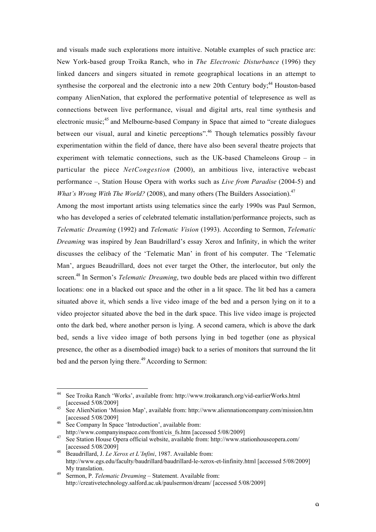and visuals made such explorations more intuitive. Notable examples of such practice are: New York-based group Troika Ranch, who in *The Electronic Disturbance* (1996) they linked dancers and singers situated in remote geographical locations in an attempt to synthesise the corporeal and the electronic into a new 20th Century body;<sup>44</sup> Houston-based company AlienNation, that explored the performative potential of telepresence as well as connections between live performance, visual and digital arts, real time synthesis and electronic music;<sup>45</sup> and Melbourne-based Company in Space that aimed to "create dialogues" between our visual, aural and kinetic perceptions".<sup>46</sup> Though telematics possibly favour experimentation within the field of dance, there have also been several theatre projects that experiment with telematic connections, such as the UK-based Chameleons Group – in particular the piece *NetCongestion* (2000), an ambitious live, interactive webcast performance –, Station House Opera with works such as *Live from Paradise* (2004-5) and *What's Wrong With The World?* (2008), and many others (The Builders Association).<sup>47</sup>

Among the most important artists using telematics since the early 1990s was Paul Sermon, who has developed a series of celebrated telematic installation/performance projects, such as *Telematic Dreaming* (1992) and *Telematic Vision* (1993). According to Sermon, *Telematic Dreaming* was inspired by Jean Baudrillard's essay Xerox and Infinity, in which the writer discusses the celibacy of the 'Telematic Man' in front of his computer. The 'Telematic Man', argues Beaudrillard, does not ever target the Other, the interlocutor, but only the screen. <sup>48</sup> In Sermon's *Telematic Dreaming*, two double beds are placed within two different locations: one in a blacked out space and the other in a lit space. The lit bed has a camera situated above it, which sends a live video image of the bed and a person lying on it to a video projector situated above the bed in the dark space. This live video image is projected onto the dark bed, where another person is lying. A second camera, which is above the dark bed, sends a live video image of both persons lying in bed together (one as physical presence, the other as a disembodied image) back to a series of monitors that surround the lit bed and the person lying there.<sup>49</sup> According to Sermon:

See Troika Ranch 'Works', available from: http://www.troikaranch.org/vid-earlierWorks.html [accessed 5/08/2009]<br>See AlienNation 'Mission Map', available from: http://www.aliennationcompany.com/mission.htm

<sup>[</sup>accessed 5/08/2009]<br>46 See Company In Space 'Introduction', available from:<br>http://www.companyinspace.com/front/cis fs.htm [accessed 5/08/2009]

<sup>&</sup>lt;sup>47</sup> See Station House Opera official website, available from: http://www.stationhouseopera.com/ [accessed 5/08/2009] <sup>48</sup> Beaudrillard, J. *Le Xerox et L'Infini*, 1987. Available from:

http://www.egs.edu/faculty/baudrillard/baudrillard-le-xerox-et-linfinity.html [accessed 5/08/2009] My translation.<br><sup>49</sup> Sermon, P. *Telematic Dreaming* – Statement. Available from:

http://creativetechnology.salford.ac.uk/paulsermon/dream/ [accessed 5/08/2009]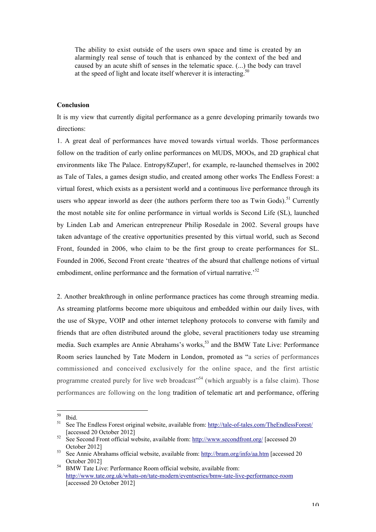The ability to exist outside of the users own space and time is created by an alarmingly real sense of touch that is enhanced by the context of the bed and caused by an acute shift of senses in the telematic space. (...) the body can travel at the speed of light and locate itself wherever it is interacting.<sup>50</sup>

### **Conclusion**

It is my view that currently digital performance as a genre developing primarily towards two directions:

1. A great deal of performances have moved towards virtual worlds. Those performances follow on the tradition of early online performances on MUDS, MOOs, and 2D graphical chat environments like The Palace. Entropy8Zuper!, for example, re-launched themselves in 2002 as Tale of Tales, a games design studio, and created among other works The Endless Forest: a virtual forest, which exists as a persistent world and a continuous live performance through its users who appear inworld as deer (the authors perform there too as Twin Gods).<sup>51</sup> Currently the most notable site for online performance in virtual worlds is Second Life (SL), launched by Linden Lab and American entrepreneur Philip Rosedale in 2002. Several groups have taken advantage of the creative opportunities presented by this virtual world, such as Second Front, founded in 2006, who claim to be the first group to create performances for SL. Founded in 2006, Second Front create 'theatres of the absurd that challenge notions of virtual embodiment, online performance and the formation of virtual narrative.<sup>52</sup>

2. Another breakthrough in online performance practices has come through streaming media. As streaming platforms become more ubiquitous and embedded within our daily lives, with the use of Skype, VOIP and other internet telephony protocols to converse with family and friends that are often distributed around the globe, several practitioners today use streaming media. Such examples are Annie Abrahams's works,<sup>53</sup> and the BMW Tate Live: Performance Room series launched by Tate Modern in London, promoted as "a series of performances commissioned and conceived exclusively for the online space, and the first artistic programme created purely for live web broadcast<sup>554</sup> (which arguably is a false claim). Those performances are following on the long tradition of telematic art and performance, offering

<sup>&</sup>lt;sup>50</sup> Ibid.<br><sup>51</sup> See The Endless Forest original website, available from: http://tale-of-tales.com/TheEndlessForest/ [accessed 20 October 2012] <sup>52</sup> See Second Front official website, available from: http://www.secondfront.org/ [accessed 20

October 2012] <sup>53</sup> See Annie Abrahams official website, available from: http://bram.org/info/aa.htm [accessed 20

October 2012] <sup>54</sup> BMW Tate Live: Performance Room official website, available from:

http://www.tate.org.uk/whats-on/tate-modern/eventseries/bmw-tate-live-performance-room [accessed 20 October 2012]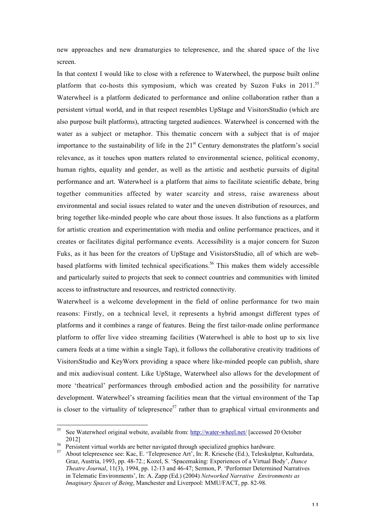new approaches and new dramaturgies to telepresence, and the shared space of the live screen.

In that context I would like to close with a reference to Waterwheel, the purpose built online platform that co-hosts this symposium, which was created by Suzon Fuks in 2011.<sup>55</sup> Waterwheel is a platform dedicated to performance and online collaboration rather than a persistent virtual world, and in that respect resembles UpStage and VisitorsStudio (which are also purpose built platforms), attracting targeted audiences. Waterwheel is concerned with the water as a subject or metaphor. This thematic concern with a subject that is of major importance to the sustainability of life in the  $21<sup>st</sup>$  Century demonstrates the platform's social relevance, as it touches upon matters related to environmental science, political economy, human rights, equality and gender, as well as the artistic and aesthetic pursuits of digital performance and art. Waterwheel is a platform that aims to facilitate scientific debate, bring together communities affected by water scarcity and stress, raise awareness about environmental and social issues related to water and the uneven distribution of resources, and bring together like-minded people who care about those issues. It also functions as a platform for artistic creation and experimentation with media and online performance practices, and it creates or facilitates digital performance events. Accessibility is a major concern for Suzon Fuks, as it has been for the creators of UpStage and VisistorsStudio, all of which are webbased platforms with limited technical specifications.<sup>56</sup> This makes them widely accessible and particularly suited to projects that seek to connect countries and communities with limited access to infrastructure and resources, and restricted connectivity.

Waterwheel is a welcome development in the field of online performance for two main reasons: Firstly, on a technical level, it represents a hybrid amongst different types of platforms and it combines a range of features. Being the first tailor-made online performance platform to offer live video streaming facilities (Waterwheel is able to host up to six live camera feeds at a time within a single Tap), it follows the collaborative creativity traditions of VisitorsStudio and KeyWorx providing a space where like-minded people can publish, share and mix audiovisual content. Like UpStage, Waterwheel also allows for the development of more 'theatrical' performances through embodied action and the possibility for narrative development. Waterwheel's streaming facilities mean that the virtual environment of the Tap is closer to the virtuality of telepresence<sup>57</sup> rather than to graphical virtual environments and

<sup>55</sup> See Waterwheel original website, available from: http://water-wheel.net/ [accessed 20 October  $\frac{2012}{\text{D} \cdot \text{D} \cdot \text{D}}$ 

Persistent virtual worlds are better navigated through specialized graphics hardware.

<sup>57</sup> About telepresence see: Kac, E. 'Telepresence Art', In: R. Kriesche (Ed.), Teleskulptur, Kulturdata, Graz, Austria, 1993, pp. 48-72.; Kozel, S. 'Spacemaking: Experiences of a Virtual Body', *Dance Theatre Journal*, 11(3), 1994, pp. 12-13 and 46-47; Sermon, P. 'Performer Determined Narratives in Telematic Environments', In: A. Zapp (Ed.) (2004) *Networked Narrative Environments as Imaginary Spaces of Being*, Manchester and Liverpool: MMU/FACT, pp. 82-98.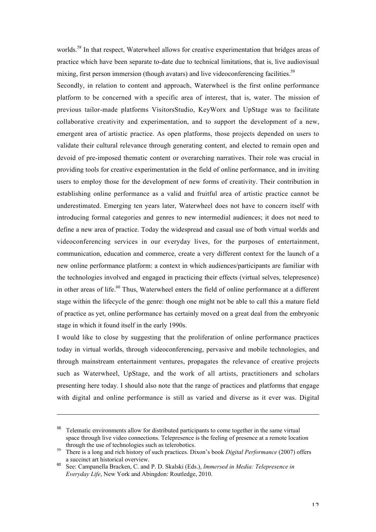worlds.<sup>58</sup> In that respect, Waterwheel allows for creative experimentation that bridges areas of practice which have been separate to-date due to technical limitations, that is, live audiovisual mixing, first person immersion (though avatars) and live videoconferencing facilities.<sup>59</sup>

Secondly, in relation to content and approach, Waterwheel is the first online performance platform to be concerned with a specific area of interest, that is, water. The mission of previous tailor-made platforms VisitorsStudio, KeyWorx and UpStage was to facilitate collaborative creativity and experimentation, and to support the development of a new, emergent area of artistic practice. As open platforms, those projects depended on users to validate their cultural relevance through generating content, and elected to remain open and devoid of pre-imposed thematic content or overarching narratives. Their role was crucial in providing tools for creative experimentation in the field of online performance, and in inviting users to employ those for the development of new forms of creativity. Their contribution in establishing online performance as a valid and fruitful area of artistic practice cannot be underestimated. Emerging ten years later, Waterwheel does not have to concern itself with introducing formal categories and genres to new intermedial audiences; it does not need to define a new area of practice. Today the widespread and casual use of both virtual worlds and videoconferencing services in our everyday lives, for the purposes of entertainment, communication, education and commerce, create a very different context for the launch of a new online performance platform: a context in which audiences/participants are familiar with the technologies involved and engaged in practicing their effects (virtual selves, telepresence) in other areas of life.<sup>60</sup> Thus, Waterwheel enters the field of online performance at a different stage within the lifecycle of the genre: though one might not be able to call this a mature field of practice as yet, online performance has certainly moved on a great deal from the embryonic stage in which it found itself in the early 1990s.

I would like to close by suggesting that the proliferation of online performance practices today in virtual worlds, through videoconferencing, pervasive and mobile technologies, and through mainstream entertainment ventures, propagates the relevance of creative projects such as Waterwheel, UpStage, and the work of all artists, practitioners and scholars presenting here today. I should also note that the range of practices and platforms that engage with digital and online performance is still as varied and diverse as it ever was. Digital

 $\overline{a}$ 

<sup>&</sup>lt;sup>58</sup> Telematic environments allow for distributed participants to come together in the same virtual space through live video connections. Telepresence is the feeling of presence at a remote location through the use of technologies such as telerobotics. <sup>59</sup> There is a long and rich history of such practices. Dixon's book *Digital Performance* (2007) offers

a succinct art historical overview. <sup>60</sup> See: Campanella Bracken, C. and P. D. Skalski (Eds.), *Immersed in Media: Telepresence in*

*Everyday Life*, New York and Abingdon: Routledge, 2010.